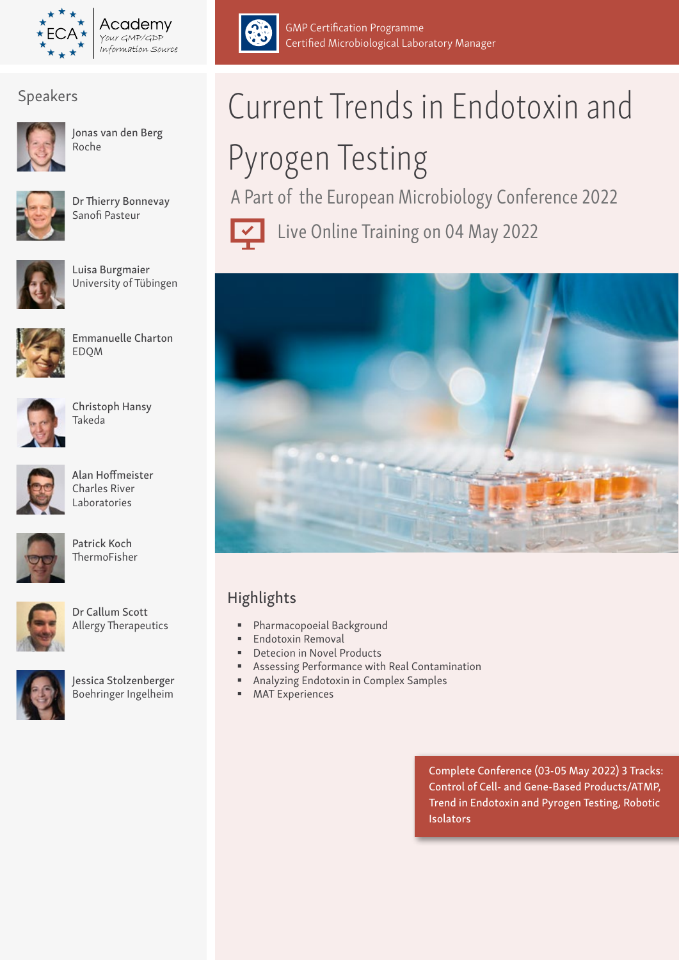

Academv Your GMP/GDP Information Source



Jonas van den Berg Roche



Dr Thierry Bonnevay Sanofi Pasteur



Luisa Burgmaier University of Tübingen



Emmanuelle Charton EDQM



Christoph Hansy Takeda



Alan Hoffmeister Charles River Laboratories



Patrick Koch ThermoFisher



Dr Callum Scott Allergy Therapeutics



Jessica Stolzenberger Boehringer Ingelheim



# Pyrogen Testing

GMP Certification Programme

Certified Microbiological Laboratory Manager

A Part of the European Microbiology Conference 2022



Live Online Training on 04 May 2022



## Highlights

- Pharmacopoeial Background
- **Endotoxin Removal**
- Detecion in Novel Products
- Assessing Performance with Real Contamination
- Analyzing Endotoxin in Complex Samples
- **MAT Experiences**

Complete Conference (03-05 May 2022) 3 Tracks: Control of Cell- and Gene-Based Products/ATMP, Trend in Endotoxin and Pyrogen Testing, Robotic **Isolators**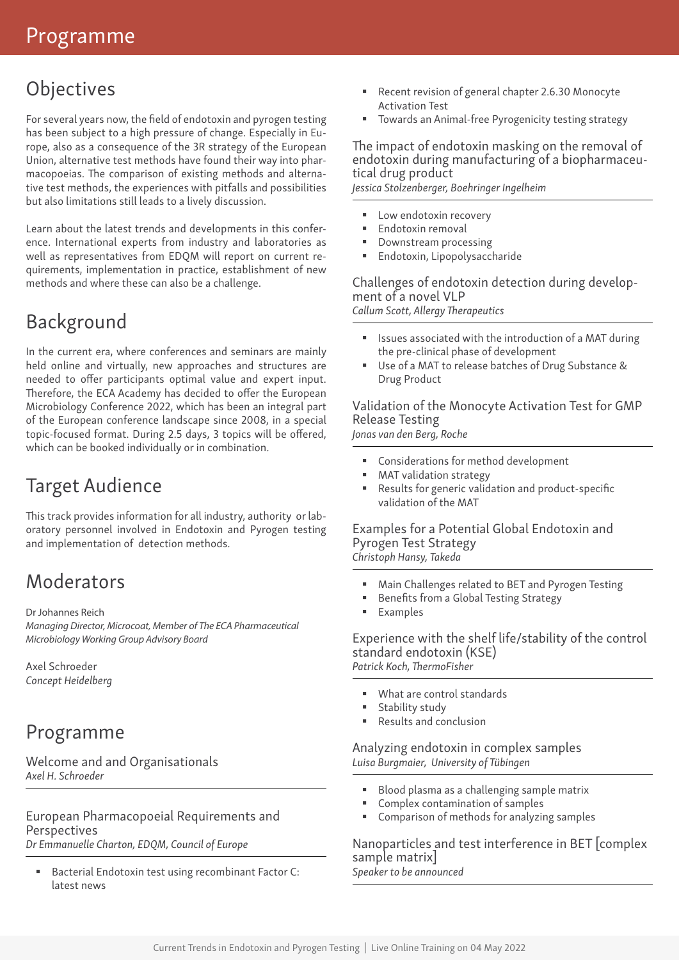## **Objectives**

For several years now, the field of endotoxin and pyrogen testing has been subject to a high pressure of change. Especially in Europe, also as a consequence of the 3R strategy of the European Union, alternative test methods have found their way into pharmacopoeias. The comparison of existing methods and alternative test methods, the experiences with pitfalls and possibilities but also limitations still leads to a lively discussion.

Learn about the latest trends and developments in this conference. International experts from industry and laboratories as well as representatives from EDQM will report on current requirements, implementation in practice, establishment of new methods and where these can also be a challenge.

## Background

In the current era, where conferences and seminars are mainly held online and virtually, new approaches and structures are needed to offer participants optimal value and expert input. Therefore, the ECA Academy has decided to offer the European Microbiology Conference 2022, which has been an integral part of the European conference landscape since 2008, in a special topic-focused format. During 2.5 days, 3 topics will be offered, which can be booked individually or in combination.

## Target Audience

This track provides information for all industry, authority or laboratory personnel involved in Endotoxin and Pyrogen testing and implementation of detection methods.

## **Moderators**

Dr Johannes Reich

*Managing Director, Microcoat, Member of The ECA Pharmaceutical Microbiology Working Group Advisory Board*

Axel Schroeder *Concept Heidelberg*

## Programme

Welcome and and Organisationals *Axel H. Schroeder*

European Pharmacopoeial Requirements and **Perspectives** *Dr Emmanuelle Charton, EDQM, Council of Europe*

 Bacterial Endotoxin test using recombinant Factor C: latest news

- Recent revision of general chapter 2.6.30 Monocyte Activation Test
- Towards an Animal-free Pyrogenicity testing strategy

The impact of endotoxin masking on the removal of endotoxin during manufacturing of a biopharmaceutical drug product *Jessica Stolzenberger, Boehringer Ingelheim*

- Low endotoxin recovery
- Endotoxin removal
- Downstream processing Endotoxin, Lipopolysaccharide
- Challenges of endotoxin detection during development of a novel VLP

*Callum Scott, Allergy Therapeutics* 

- Issues associated with the introduction of a MAT during the pre-clinical phase of development
- Use of a MAT to release batches of Drug Substance & Drug Product

Validation of the Monocyte Activation Test for GMP Release Testing *Jonas van den Berg, Roche*

- Considerations for method development
- MAT validation strategy
- Results for generic validation and product-specific validation of the MAT

Examples for a Potential Global Endotoxin and Pyrogen Test Strategy *Christoph Hansy, Takeda*

- Main Challenges related to BET and Pyrogen Testing
- Benefits from a Global Testing Strategy
- Examples

Experience with the shelf life/stability of the control standard endotoxin (KSE) *Patrick Koch, ThermoFisher*

- What are control standards
- Stability study
- Results and conclusion

Analyzing endotoxin in complex samples *Luisa Burgmaier, University of Tübingen*

- Blood plasma as a challenging sample matrix
- Complex contamination of samples
- Comparison of methods for analyzing samples

Nanoparticles and test interference in BET [complex sample matrix] *Speaker to be announced*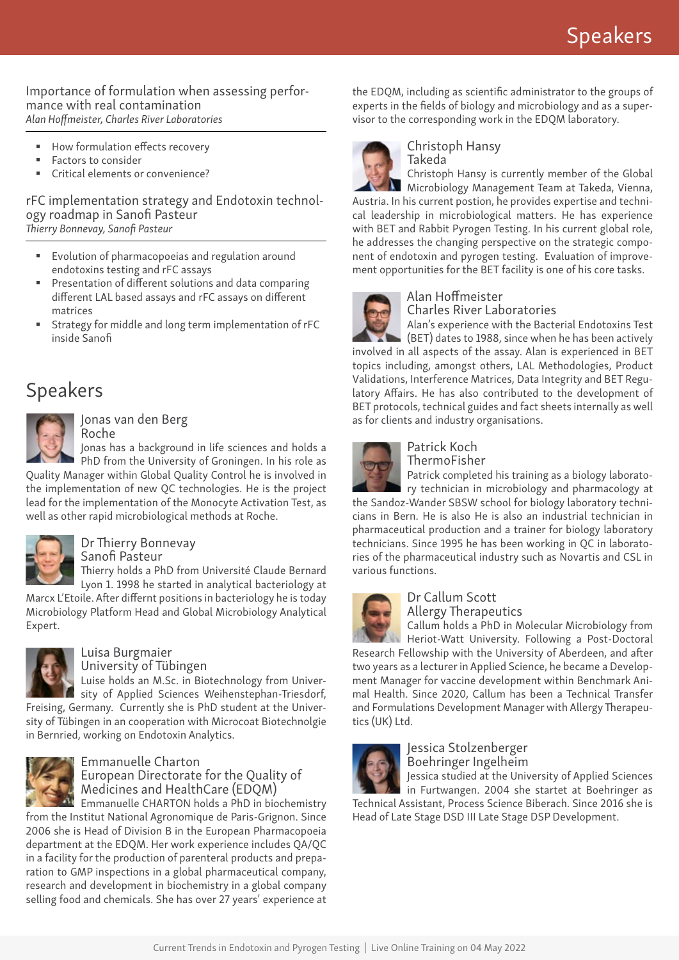#### Importance of formulation when assessing performance with real contamination *Alan Hoffmeister, Charles River Laboratories*

- How formulation effects recovery
- Factors to consider
- Critical elements or convenience?

#### rFC implementation strategy and Endotoxin technology roadmap in Sanofi Pasteur *Thierry Bonnevay, Sanofi Pasteur*

- Evolution of pharmacopoeias and regulation around endotoxins testing and rFC assays
- Presentation of different solutions and data comparing different LAL based assays and rFC assays on different matrices
- Strategy for middle and long term implementation of rFC inside Sanofi

## Speakers



Jonas van den Berg Roche

Jonas has a background in life sciences and holds a PhD from the University of Groningen. In his role as

Quality Manager within Global Quality Control he is involved in the implementation of new QC technologies. He is the project lead for the implementation of the Monocyte Activation Test, as well as other rapid microbiological methods at Roche.



## Dr Thierry Bonnevay

Sanofi Pasteur

Thierry holds a PhD from Université Claude Bernard Lyon 1. 1998 he started in analytical bacteriology at

Marcx L'Etoile. After differnt positions in bacteriology he is today Microbiology Platform Head and Global Microbiology Analytical Expert.



#### Luisa Burgmaier University of Tübingen

Luise holds an M.Sc. in Biotechnology from Univer-

sity of Applied Sciences Weihenstephan-Triesdorf, Freising, Germany. Currently she is PhD student at the University of Tübingen in an cooperation with Microcoat Biotechnolgie in Bernried, working on Endotoxin Analytics.



#### Emmanuelle Charton European Directorate for the Quality of Medicines and HealthCare (EDQM)

**Emmanuelle CHARTON holds a PhD in biochemistry** 

from the Institut National Agronomique de Paris-Grignon. Since 2006 she is Head of Division B in the European Pharmacopoeia department at the EDQM. Her work experience includes QA/QC in a facility for the production of parenteral products and preparation to GMP inspections in a global pharmaceutical company, research and development in biochemistry in a global company selling food and chemicals. She has over 27 years' experience at the EDQM, including as scientific administrator to the groups of experts in the fields of biology and microbiology and as a supervisor to the corresponding work in the EDQM laboratory.



#### Christoph Hansy Takeda

Christoph Hansy is currently member of the Global

Microbiology Management Team at Takeda, Vienna, Austria. In his current postion, he provides expertise and technical leadership in microbiological matters. He has experience with BET and Rabbit Pyrogen Testing. In his current global role, he addresses the changing perspective on the strategic component of endotoxin and pyrogen testing. Evaluation of improvement opportunities for the BET facility is one of his core tasks.



## Alan Hoffmeister

Charles River Laboratories

Alan's experience with the Bacterial Endotoxins Test (BET) dates to 1988, since when he has been actively involved in all aspects of the assay. Alan is experienced in BET

topics including, amongst others, LAL Methodologies, Product Validations, Interference Matrices, Data Integrity and BET Regulatory Affairs. He has also contributed to the development of BET protocols, technical guides and fact sheets internally as well as for clients and industry organisations.



#### Patrick Koch ThermoFisher

Patrick completed his training as a biology laborato-

ry technician in microbiology and pharmacology at the Sandoz-Wander SBSW school for biology laboratory technicians in Bern. He is also He is also an industrial technician in pharmaceutical production and a trainer for biology laboratory technicians. Since 1995 he has been working in QC in laboratories of the pharmaceutical industry such as Novartis and CSL in various functions.



## Dr Callum Scott

Allergy Therapeutics

Callum holds a PhD in Molecular Microbiology from Heriot-Watt University. Following a Post-Doctoral Research Fellowship with the University of Aberdeen, and after two years as a lecturer in Applied Science, he became a Development Manager for vaccine development within Benchmark Animal Health. Since 2020, Callum has been a Technical Transfer and Formulations Development Manager with Allergy Therapeutics (UK) Ltd.



## Jessica Stolzenberger Boehringer Ingelheim

Jessica studied at the University of Applied Sciences in Furtwangen. 2004 she startet at Boehringer as Technical Assistant, Process Science Biberach. Since 2016 she is

Head of Late Stage DSD III Late Stage DSP Development.